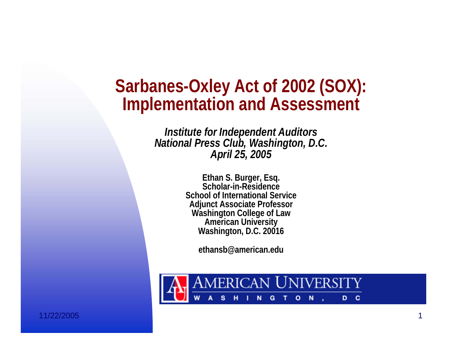#### **Sarbanes-Oxley Act of 2002 (SOX): Implementation and Assessment**

*Institute for Independent Auditors National Press Club, Washington, D.C. April 25, 2005*

> **Ethan S. Burger, Esq. Scholar-in-Residence School of International ServiceAdjunct Associate Professor Washington College of Law American University Washington, D.C. 20016**

> > **ethansb@american.edu**



11/22/2005 $5$  and the contract of the contract of the contract of the contract of the contract of the contract of the contract of the contract of the contract of the contract of the contract of the contract of the contract of the c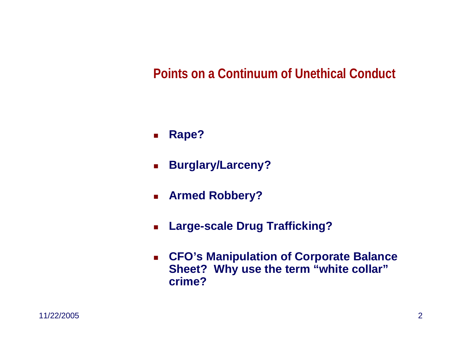#### **Points on a Continuum of Unethical Conduct**

- $\mathcal{L}_{\mathcal{A}}$ **Rape?**
- $\mathbf{r}$ **Burglary/Larceny?**
- $\mathbf{r}$ **Armed Robbery?**
- $\blacksquare$ **Large-scale Drug Trafficking?**
- $\mathbf{r}$  **CFO's Manipulation of Corporate Balance Sheet? Why use the term "white collar" crime?**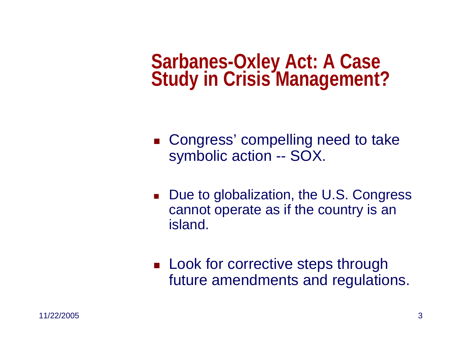**Sarbanes-Oxley Act: A Case Study in Crisis Management?**

- Congress' compelling need to take symbolic action -- SOX.
- Due to globalization, the U.S. Congress cannot operate as if the country is an island.
- **Look for corrective steps through** future amendments and regulations.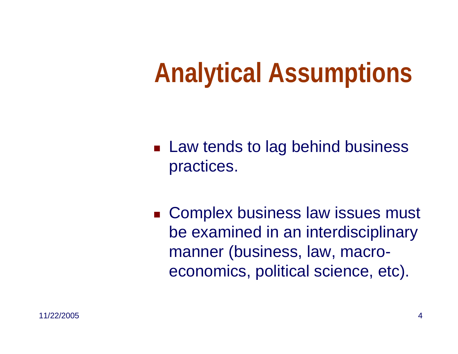## **Analytical Assumptions**

- **Law tends to lag behind business** practices.
- **Complex business law issues must** be examined in an interdisciplinary manner (business, law, macroeconomics, political science, etc).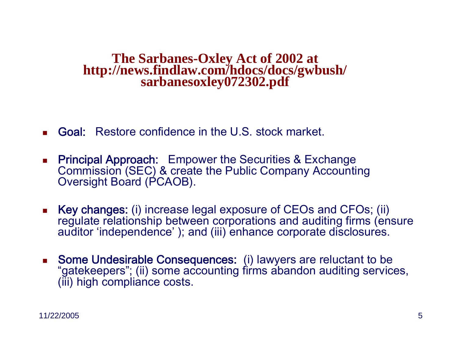# **The Sarbanes-Oxley Act of 2002 at http://news.findlaw.com/hdocs/docs/gwbush/ sarbanesoxley072302.pdf**

- П Goal: Restore confidence in the U.S. stock market.
- $\blacksquare$  Principal Approach: Empower the Securities & Exchange Commission (SEC) & create the Public Company Ac counting Oversight Board (PCAOB).
- L Key changes: (i) increase legal exposure of CEOs and CFOs; (ii) regulate relationship bet ween corporations and auditing firms (ensure auditor 'independence' ); and (iii) enhance corporate disclosures.
- L. Some Undesirable Consequences: (i) lawyers are reluctant to be "gatekeepers"; (ii) some accounting firms abandon auditing services, (iii) high compliance cos ts.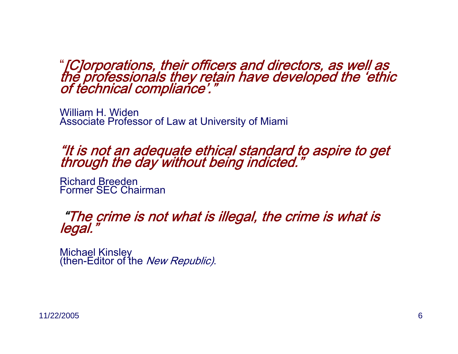# "[C]orporations, their officers and directors, as well as<br>the professionals they retain have developed the 'ethic<br>of technical compliance'."

William H. WidenAssociate Professor of Law at University of Miami

### "It is not an adequate ethical standard to aspire to get through the day without being indicted."

Richard BreedenFormer SEC Chairman

### "The crime is not what is illegal, the crime is what is legal."

Michael Kinsley<br>(then-Editor of the *New Republic)*.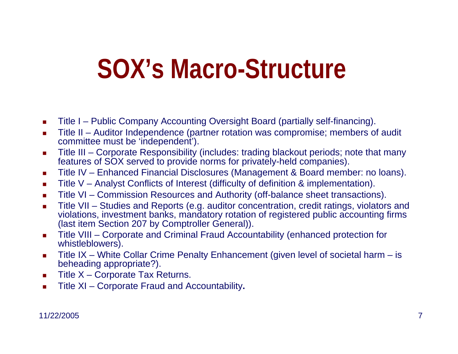### **SOX's Macro-Structure**

- п ■ Title I – Public Company Accounting Oversight Board (partially self-financing).
- **COL** ■ Title II – Auditor Independence (partner rotation was compromise; members of audit committee must be 'independent').
- $\blacksquare$ ■ Title III – Corporate Responsibility (includes: trading blackout periods; note that many features of SOX served to provide norms for privately-held companies).
- $\mathbf{r}$ ■ Title IV – Enhanced Financial Disclosures (Management & Board member: no loans).
- **COL** Title V – Analyst Conflicts of Inter est (difficulty of definition & implementation).
- $\mathbf{r}$ ■ Title VI – Commission Resources and Authority (off-balance sheet transactions).
- $\mathcal{L}_{\mathcal{A}}$ ■ Title VII – Studies and Reports (e.g. auditor concentration, credit ratings, violators and violations, investment banks, mandatory rotation of registered public accounting firms (last item Section 207 by Comptroller General)).
- $\mathcal{L}_{\mathcal{A}}$  Title VIII – Corporate and Criminal Fraud Accountability (enhanced protection for whistleblowers).
- $\blacksquare$ ■ Title IX – White Collar Crime Penalty Enhancement (given level of societal harm – is beheading appropriate?).
- $\mathcal{L}_{\mathcal{A}}$ ■ Title X – Corporate Tax Returns.
- $\mathbf{r}$ Title XI – Corporate Fraud and Accountability**.**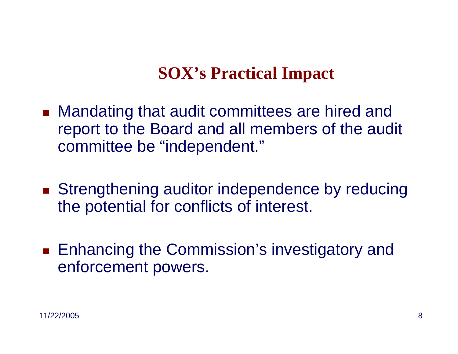#### **SOX's Practical Impact**

- Mandating that audit committees are hired and report to the Board and all members of the audit committee be "independent."
- **Strengthening auditor independence by reducing** the potential for conflicts of interest.
- Enhancing the Commission's investigatory and enforcement powers.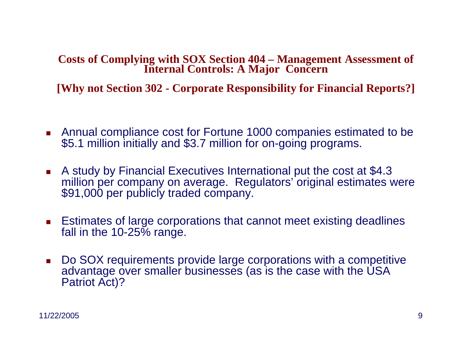**Costs of Complying with SOX Section 404 – Management Assessment of Internal Controls: A Major Concern**

**[Why not Section 302 - Corporate Responsibility for Financial Reports?]**

- Annual compliance cost for Fortune 1000 companies estimated to be \$5.1 million initially and \$3.7 million for on-going programs.
- A study by Financial Executives International put the cost at \$4.3 million per company on average. Regulators' original estimates were \$91,000 per publicly traded company.
- Estimates of large corporations that cannot meet existing deadlines fall in the 10-25% range.
- Do SOX requirements provide large corporations with a competitive advantage over smaller businesses (as is the case with the USA Patriot Act)?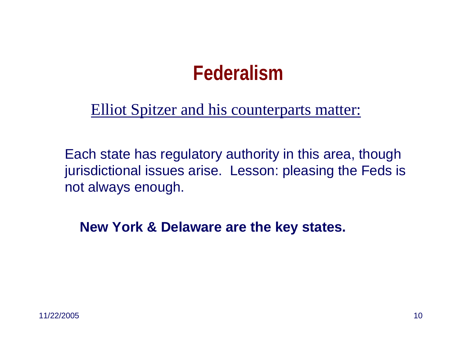#### **Federalism**

Elliot Spitzer and his counterparts matter:

Each state has regulatory authority in this area, though jurisdictional issues arise. Lesson: pleasing the Feds is not always enough.

**New York & Delaware are the key states.**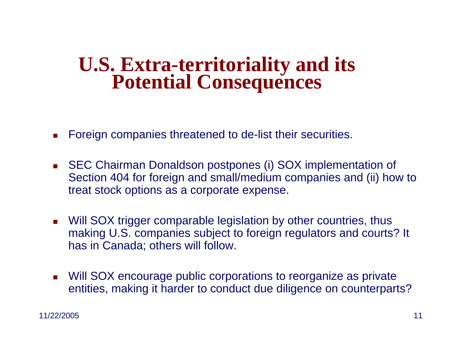# **U.S. Extra-territoriality and its Potential Consequences**

- П Foreign companies threatened to de-list their securities.
- $\mathbf{r}$  SEC Chairman Donaldson postpones (i) SOX implementation of Section 404 for foreign and small/medium companies and (ii) how to treat stock options as a corporate expense.
- Will SOX trigger comparable legislation by other countries, thus making U.S. companies subject to foreign regulators and courts? It has in Canada; others will follow.
- $\mathbf{r}$  Will SOX encourage public corporations to reorganize as private entities, making it harder to conduct due diligence on counterparts?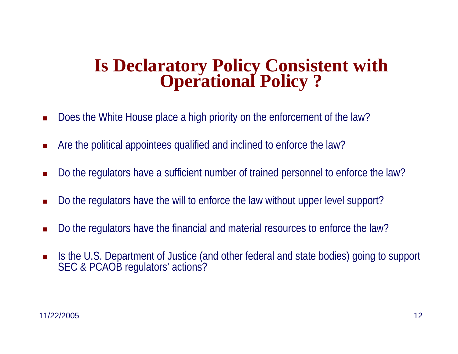## **Is Declaratory Policy Consistent with Operational Policy ?**

- L. Does the White House place a high priority on the enforcement of the law?
- L. Are the political appointees qualified and inclined to enforce the law?
- $\blacksquare$ Do the regulators have a sufficient number of trained personnel to enforce the law?
- L. Do the regulators have the will to enforce the law without upper level support?
- L. Do the regulators have the financial and material resources to enforce the law?
- $\blacksquare$  Is the U.S. Department of Justice (and other federal and state bodies) going to support SEC & PCAOB regulators' actions?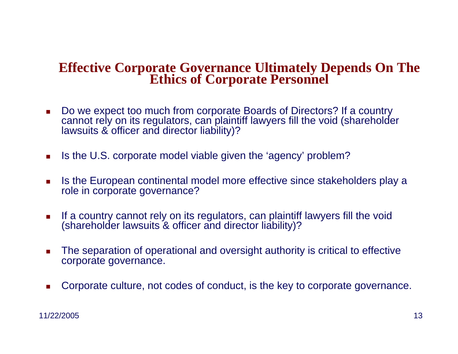### **Effective Corporate Governance Ultimately Depends On The Ethics of Corporate Personnel**

- $\mathcal{L}_{\mathcal{A}}$  Do we expect too much from corporate Boards of Directors? If a country cannot rely on its regulators, can plaintiff lawyers fill the void (shareholder lawsuits & officer and director liability)?
- $\mathcal{L}_{\mathcal{A}}$ Is the U.S. corporate model viable given the 'agency' problem?
- $\mathcal{L}_{\mathcal{A}}$  Is the European continental model more effective since stakeholders play a role in corporate governance?
- $\overline{\phantom{a}}$  If a country cannot rely on its regulators, can plaintiff lawyers fill the void (shareholder lawsuits & officer and director liability)?
- $\mathcal{L}_{\mathcal{A}}$  The separation of operational and oversight authority is critical to effective corporate governance.
- u Corporate culture, not codes of conduct, is the key to corporate governance.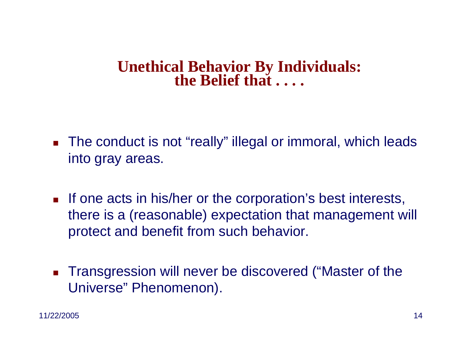## **Unethical Behavior By Individuals: the Belief that . . . .**

- The conduct is not "really" illegal or immoral, which leads into gray areas.
- **If one acts in his/her or the corporation's best interests,** there is a (reasonable) expectation that management will protect and benefit from such behavior.
- $\mathcal{L}_{\mathcal{A}}$  Transgression will never be discovered ("Master of the Universe" Phenomenon).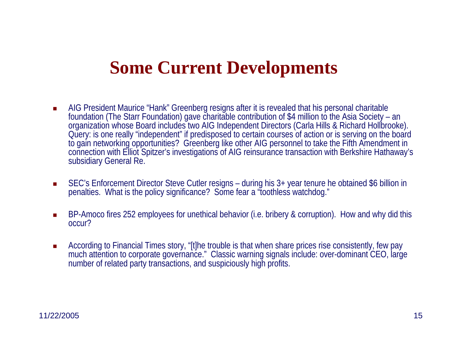#### **Some Current Developments**

- $\mathcal{L}_{\mathcal{A}}$  AIG President Maurice "Hank" Greenberg resigns after it is revealed that his personal charitable foundation (The Starr Foundation) gave charitable contribution of \$4 million to the Asia Society – an organization whose Board includes two AIG Independent Directors (Carla Hills & Richard Hollbrooke). Query: is one really "independent" if predisposed to certain courses of action or is serving on the board to gain networking opportunities? Greenberg like other AIG personnel to take the Fifth Amendment in connection with Elliot Spitzer's investigations of AIG reinsurance transaction with Berkshire Hathaway's subsidiary General Re.
- $\mathcal{L}_{\mathcal{A}}$ ■ SEC's Enforcement Director Steve Cutler resigns – during his 3+ year tenure he obtained \$6 billion in penalties. What is the policy significance? Some fear a "toothless watchdog."
- **COL** ■ BP-Amoco fires 252 employees for unethical behavior (i.e. bribery & corruption). How and why did this occur?
- **COL**  According to Financial Times story, "[t]he trouble is that when share prices rise consistently, few pay much attention to corporate governance." Classic warning signals include: over-dominant CEO, large number of related party transactions, and suspiciously high profits.